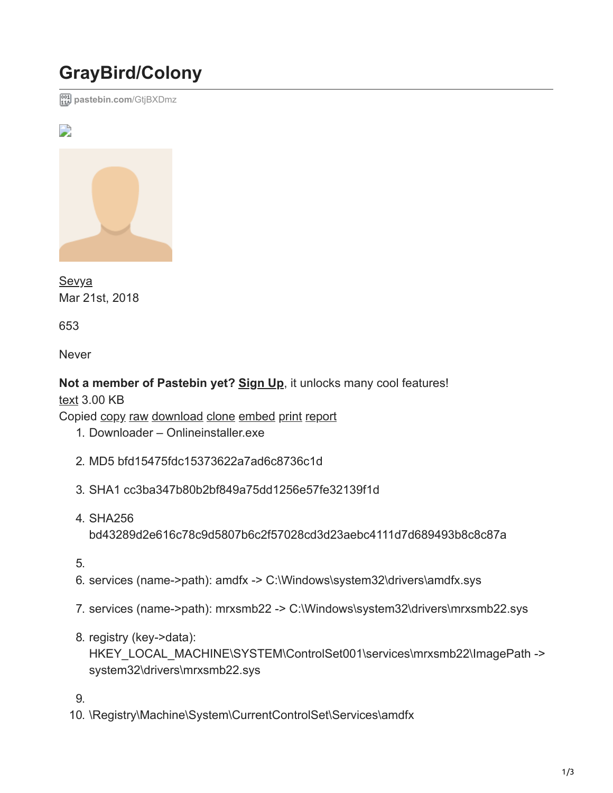## **GrayBird/Colony**

**[pastebin.com](https://pastebin.com/GtjBXDmz)**/GtjBXDmz



**[Sevya](https://pastebin.com/u/Sevya)** Mar 21st, 2018

653

Never

## **Not a member of Pastebin yet? [Sign Up](https://pastebin.com/signup)**, it unlocks many cool features!

[text](https://pastebin.com/archive/text) 3.00 KB

Copied copy [raw](https://pastebin.com/raw/GtjBXDmz) [download](https://pastebin.com/dl/GtjBXDmz) [clone](https://pastebin.com/clone/GtjBXDmz) [embed](https://pastebin.com/embed/GtjBXDmz) [print](https://pastebin.com/print/GtjBXDmz) [report](https://pastebin.com/report/GtjBXDmz)

- 1. Downloader Onlineinstaller.exe
- 2. MD5 bfd15475fdc15373622a7ad6c8736c1d
- 3. SHA1 cc3ba347b80b2bf849a75dd1256e57fe32139f1d
- 4. SHA256 bd43289d2e616c78c9d5807b6c2f57028cd3d23aebc4111d7d689493b8c8c87a
- 5.
- 6. services (name->path): amdfx -> C:\Windows\system32\drivers\amdfx.sys
- 7. services (name->path): mrxsmb22 -> C:\Windows\system32\drivers\mrxsmb22.sys
- 8. registry (key->data): HKEY\_LOCAL\_MACHINE\SYSTEM\ControlSet001\services\mrxsmb22\ImagePath -> system32\drivers\mrxsmb22.sys

9.

10. \Registry\Machine\System\CurrentControlSet\Services\amdfx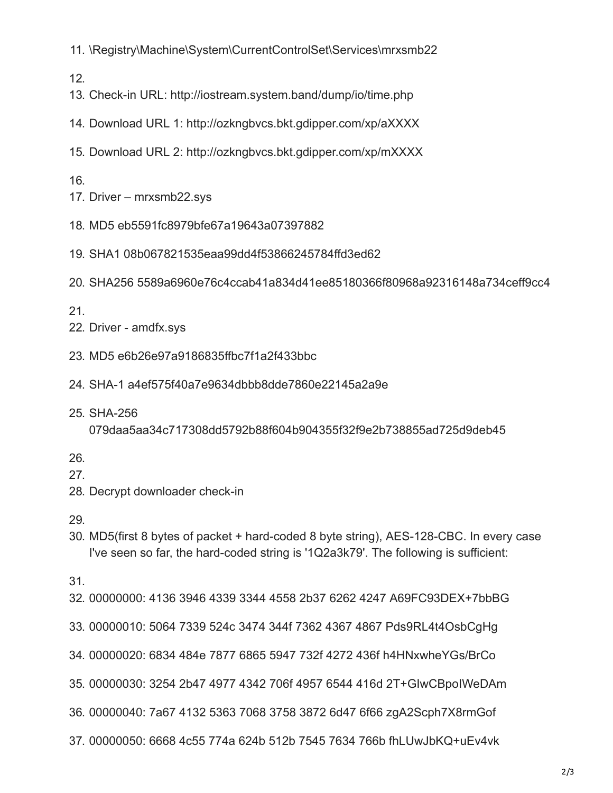11. \Registry\Machine\System\CurrentControlSet\Services\mrxsmb22

12.

- 13. Check-in URL: http://iostream.system.band/dump/io/time.php
- 14. Download URL 1: http://ozkngbvcs.bkt.gdipper.com/xp/aXXXX
- 15. Download URL 2: http://ozkngbvcs.bkt.gdipper.com/xp/mXXXX

16.

- 17. Driver mrxsmb22.sys
- 18. MD5 eb5591fc8979bfe67a19643a07397882
- 19. SHA1 08b067821535eaa99dd4f53866245784ffd3ed62
- 20. SHA256 5589a6960e76c4ccab41a834d41ee85180366f80968a92316148a734ceff9cc4

21.

- 22. Driver amdfx.sys
- 23. MD5 e6b26e97a9186835ffbc7f1a2f433bbc
- 24. SHA-1 a4ef575f40a7e9634dbbb8dde7860e22145a2a9e
- 25. SHA-256

079daa5aa34c717308dd5792b88f604b904355f32f9e2b738855ad725d9deb45

26.

- 27.
- 28. Decrypt downloader check-in
- 29.
- 30. MD5(first 8 bytes of packet + hard-coded 8 byte string), AES-128-CBC. In every case I've seen so far, the hard-coded string is '1Q2a3k79'. The following is sufficient:
- 31.
- 32. 00000000: 4136 3946 4339 3344 4558 2b37 6262 4247 A69FC93DEX+7bbBG
- 33. 00000010: 5064 7339 524c 3474 344f 7362 4367 4867 Pds9RL4t4OsbCgHg
- 34. 00000020: 6834 484e 7877 6865 5947 732f 4272 436f h4HNxwheYGs/BrCo
- 35. 00000030: 3254 2b47 4977 4342 706f 4957 6544 416d 2T+GIwCBpoIWeDAm
- 36. 00000040: 7a67 4132 5363 7068 3758 3872 6d47 6f66 zgA2Scph7X8rmGof
- 37. 00000050: 6668 4c55 774a 624b 512b 7545 7634 766b fhLUwJbKQ+uEv4vk